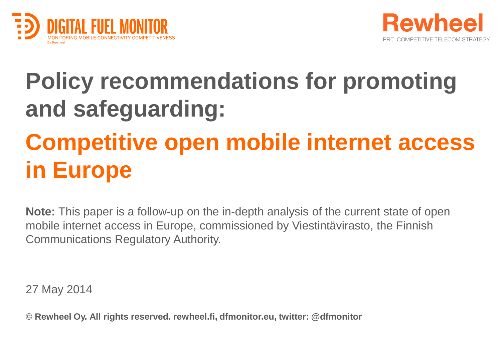



#### **Policy recommendations for promoting and safeguarding:**

### **Competitive open mobile internet access in Europe**

**Note:** This paper is a follow-up on the in-depth analysis of the current state of open mobile internet access in Europe, commissioned by Viestintävirasto, the Finnish Communications Regulatory Authority.

27 May 2014

**© Rewheel Oy. All rights reserved. rewheel.fi, dfmonitor.eu, twitter: @dfmonitor**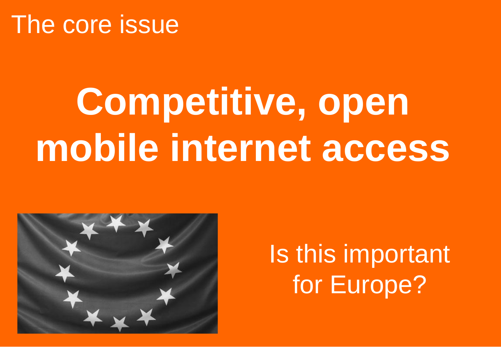#### The core issue

# **Competitive, open mobile internet access**



### Is this important for Europe?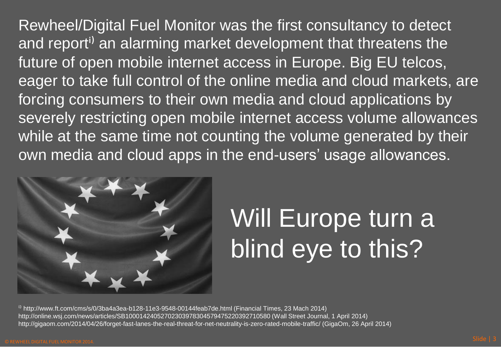Rewheel/Digital Fuel Monitor was the first consultancy to detect and report<sup>i)</sup> an alarming market development that threatens the future of open mobile internet access in Europe. Big EU telcos, eager to take full control of the online media and cloud markets, are forcing consumers to their own media and cloud applications by severely restricting open mobile internet access volume allowances while at the same time not counting the volume generated by their own media and cloud apps in the end-users' usage allowances.



## Will Europe turn a blind eye to this?

<sup>i)</sup> http://www.ft.com/cms/s/0/3ba4a3ea-b128-11e3-9548-00144feab7de.html (Financial Times, 23 Mach 2014) http://online.wsj.com/news/articles/SB10001424052702303978304579475220392710580 (Wall Street Journal, 1 April 2014) http://gigaom.com/2014/04/26/forget-fast-lanes-the-real-threat-for-net-neutrality-is-zero-rated-mobile-traffic/ (GigaOm, 26 April 2014)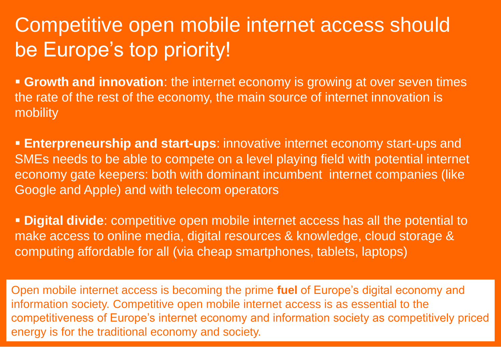#### Competitive open mobile internet access should be Europe's top priority!

 **Growth and innovation**: the internet economy is growing at over seven times the rate of the rest of the economy, the main source of internet innovation is mobility

 **Enterpreneurship and start-ups**: innovative internet economy start-ups and SMEs needs to be able to compete on a level playing field with potential internet economy gate keepers: both with dominant incumbent internet companies (like Google and Apple) and with telecom operators

 **Digital divide**: competitive open mobile internet access has all the potential to make access to online media, digital resources & knowledge, cloud storage & computing affordable for all (via cheap smartphones, tablets, laptops)

Side is the extension of the extension of the extension of the extension of the extension of the extension of the extension of the extension of the extension of the extension of the extension of the extension of the extens Open mobile internet access is becoming the prime **fuel** of Europe's digital economy and information society. Competitive open mobile internet access is as essential to the competitiveness of Europe's internet economy and information society as competitively priced energy is for the traditional economy and society.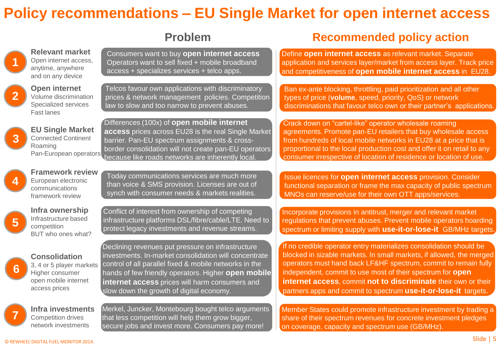#### **Policy recommendations – EU Single Market for open internet access**